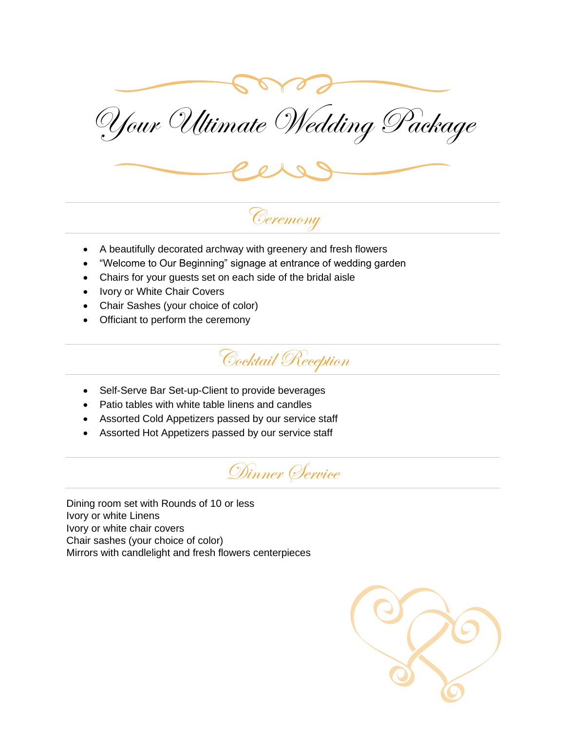

Your Ultimate Wedding Package



# Ceremony

- A beautifully decorated archway with greenery and fresh flowers
- "Welcome to Our Beginning" signage at entrance of wedding garden
- Chairs for your guests set on each side of the bridal aisle
- Ivory or White Chair Covers
- Chair Sashes (your choice of color)
- Officiant to perform the ceremony



- Self-Serve Bar Set-up-Client to provide beverages
- Patio tables with white table linens and candles
- Assorted Cold Appetizers passed by our service staff
- Assorted Hot Appetizers passed by our service staff



Dining room set with Rounds of 10 or less Ivory or white Linens Ivory or white chair covers Chair sashes (your choice of color) Mirrors with candlelight and fresh flowers centerpieces

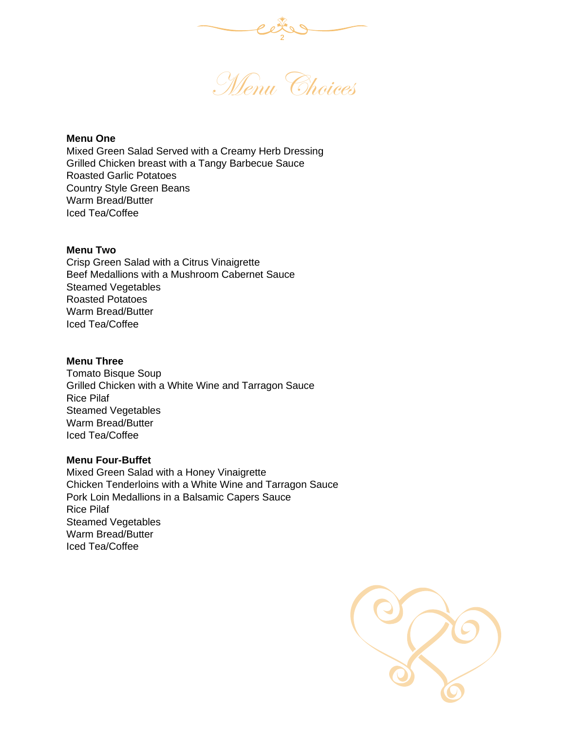

Menu Choices

### **Menu One**

Mixed Green Salad Served with a Creamy Herb Dressing Grilled Chicken breast with a Tangy Barbecue Sauce Roasted Garlic Potatoes Country Style Green Beans Warm Bread/Butter Iced Tea/Coffee

## **Menu Two**

Crisp Green Salad with a Citrus Vinaigrette Beef Medallions with a Mushroom Cabernet Sauce Steamed Vegetables Roasted Potatoes Warm Bread/Butter Iced Tea/Coffee

## **Menu Three**

Tomato Bisque Soup Grilled Chicken with a White Wine and Tarragon Sauce Rice Pilaf Steamed Vegetables Warm Bread/Butter Iced Tea/Coffee

### **Menu Four-Buffet**

Mixed Green Salad with a Honey Vinaigrette Chicken Tenderloins with a White Wine and Tarragon Sauce Pork Loin Medallions in a Balsamic Capers Sauce Rice Pilaf Steamed Vegetables Warm Bread/Butter Iced Tea/Coffee